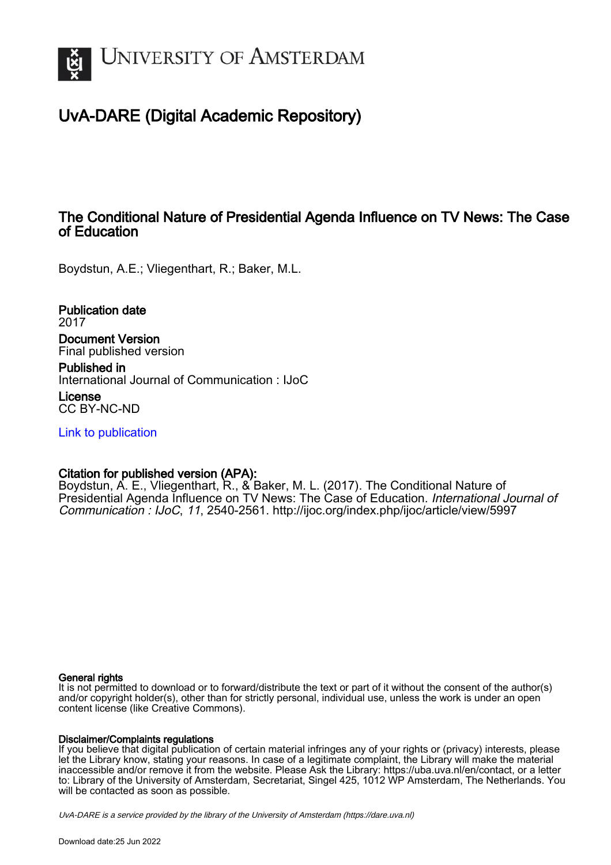

# UvA-DARE (Digital Academic Repository)

## The Conditional Nature of Presidential Agenda Influence on TV News: The Case of Education

Boydstun, A.E.; Vliegenthart, R.; Baker, M.L.

Publication date 2017 Document Version Final published version

Published in International Journal of Communication : IJoC

License CC BY-NC-ND

[Link to publication](https://dare.uva.nl/personal/pure/en/publications/the-conditional-nature-of-presidential-agenda-influence-on-tv-news-the-case-of-education(cd1cdb96-f2af-440b-9708-09fd44d41d42).html)

## Citation for published version (APA):

Boydstun, A. E., Vliegenthart, R., & Baker, M. L. (2017). The Conditional Nature of Presidential Agenda Influence on TV News: The Case of Education. International Journal of Communication : IJoC, 11, 2540-2561. <http://ijoc.org/index.php/ijoc/article/view/5997>

### General rights

It is not permitted to download or to forward/distribute the text or part of it without the consent of the author(s) and/or copyright holder(s), other than for strictly personal, individual use, unless the work is under an open content license (like Creative Commons).

## Disclaimer/Complaints regulations

If you believe that digital publication of certain material infringes any of your rights or (privacy) interests, please let the Library know, stating your reasons. In case of a legitimate complaint, the Library will make the material inaccessible and/or remove it from the website. Please Ask the Library: https://uba.uva.nl/en/contact, or a letter to: Library of the University of Amsterdam, Secretariat, Singel 425, 1012 WP Amsterdam, The Netherlands. You will be contacted as soon as possible.

UvA-DARE is a service provided by the library of the University of Amsterdam (http*s*://dare.uva.nl)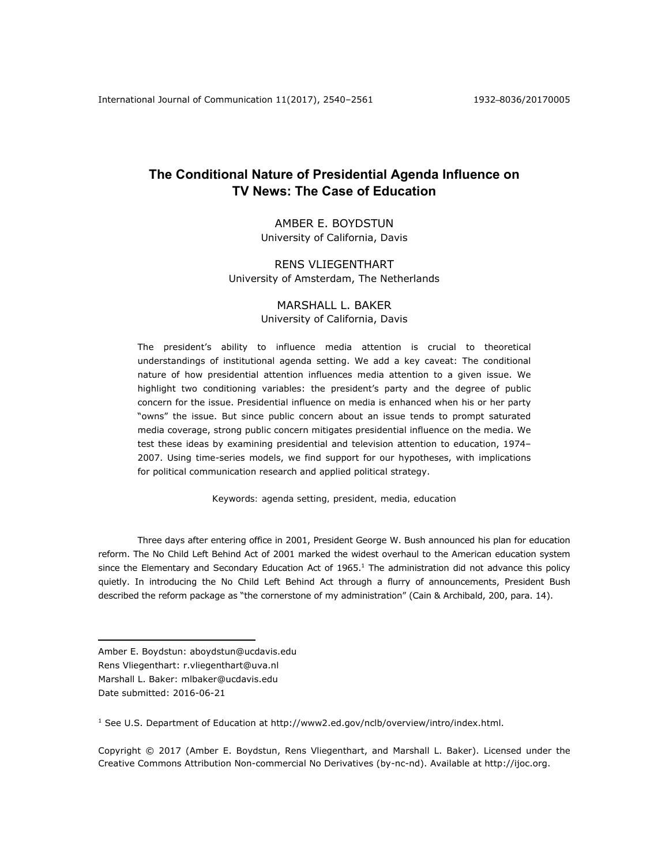## **The Conditional Nature of Presidential Agenda Influence on TV News: The Case of Education**

AMBER E. BOYDSTUN University of California, Davis

### RENS VLIEGENTHART University of Amsterdam, The Netherlands

## MARSHALL L. BAKER

### University of California, Davis

The president's ability to influence media attention is crucial to theoretical understandings of institutional agenda setting. We add a key caveat: The conditional nature of how presidential attention influences media attention to a given issue. We highlight two conditioning variables: the president's party and the degree of public concern for the issue. Presidential influence on media is enhanced when his or her party "owns" the issue. But since public concern about an issue tends to prompt saturated media coverage, strong public concern mitigates presidential influence on the media. We test these ideas by examining presidential and television attention to education, 1974– 2007. Using time-series models, we find support for our hypotheses, with implications for political communication research and applied political strategy.

*Keywords: agenda setting, president, media, education* 

Three days after entering office in 2001, President George W. Bush announced his plan for education reform. The No Child Left Behind Act of 2001 marked the widest overhaul to the American education system since the Elementary and Secondary Education Act of  $1965<sup>1</sup>$ . The administration did not advance this policy quietly. In introducing the No Child Left Behind Act through a flurry of announcements, President Bush described the reform package as "the cornerstone of my administration" (Cain & Archibald, 200, para. 14).

 $\overline{a}$ 

<sup>1</sup> See U.S. Department of Education at http://www2.ed.gov/nclb/overview/intro/index.html.

Copyright © 2017 (Amber E. Boydstun, Rens Vliegenthart, and Marshall L. Baker). Licensed under the Creative Commons Attribution Non-commercial No Derivatives (by-nc-nd). Available at http://ijoc.org.

Amber E. Boydstun: aboydstun@ucdavis.edu

Rens Vliegenthart: r.vliegenthart@uva.nl Marshall L. Baker: mlbaker@ucdavis.edu

Date submitted: 2016-06-21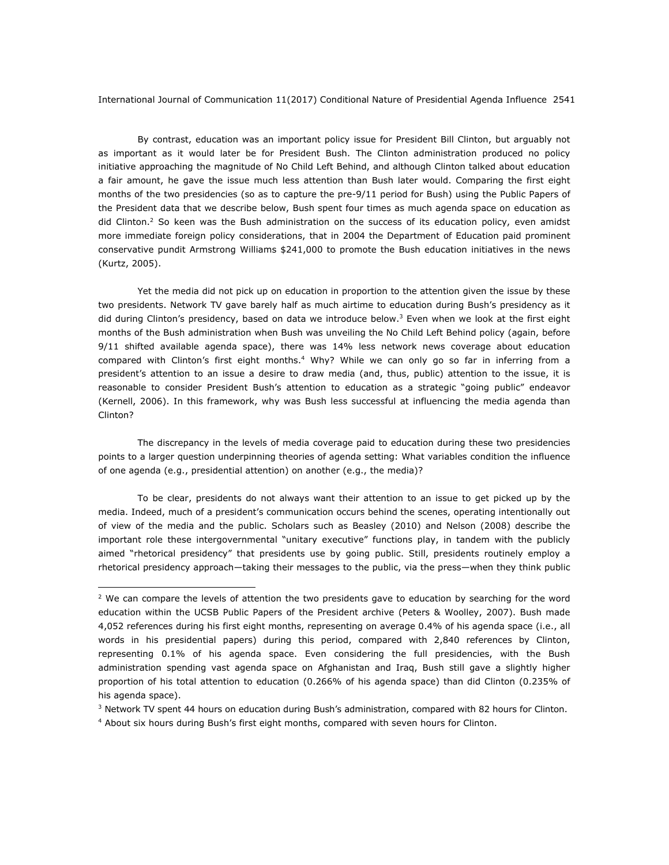By contrast, education was an important policy issue for President Bill Clinton, but arguably not as important as it would later be for President Bush. The Clinton administration produced no policy initiative approaching the magnitude of No Child Left Behind, and although Clinton talked about education a fair amount, he gave the issue much less attention than Bush later would. Comparing the first eight months of the two presidencies (so as to capture the pre-9/11 period for Bush) using the Public Papers of the President data that we describe below, Bush spent four times as much agenda space on education as did Clinton.<sup>2</sup> So keen was the Bush administration on the success of its education policy, even amidst more immediate foreign policy considerations, that in 2004 the Department of Education paid prominent conservative pundit Armstrong Williams \$241,000 to promote the Bush education initiatives in the news (Kurtz, 2005).

Yet the media did not pick up on education in proportion to the attention given the issue by these two presidents. Network TV gave barely half as much airtime to education during Bush's presidency as it did during Clinton's presidency, based on data we introduce below.<sup>3</sup> Even when we look at the first eight months of the Bush administration when Bush was unveiling the No Child Left Behind policy (again, before 9/11 shifted available agenda space), there was 14% less network news coverage about education compared with Clinton's first eight months.<sup>4</sup> Why? While we can only go so far in inferring from a president's attention to an issue a desire to draw media (and, thus, public) attention to the issue, it is reasonable to consider President Bush's attention to education as a strategic "going public" endeavor (Kernell, 2006). In this framework, why was Bush less successful at influencing the media agenda than Clinton?

The discrepancy in the levels of media coverage paid to education during these two presidencies points to a larger question underpinning theories of agenda setting: What variables condition the influence of one agenda (e.g., presidential attention) on another (e.g., the media)?

To be clear, presidents do not always want their attention to an issue to get picked up by the media. Indeed, much of a president's communication occurs behind the scenes, operating intentionally out of view of the media and the public. Scholars such as Beasley (2010) and Nelson (2008) describe the important role these intergovernmental "unitary executive" functions play, in tandem with the publicly aimed "rhetorical presidency" that presidents use by going public. Still, presidents routinely employ a rhetorical presidency approach—taking their messages to the public, via the press—when they think public

 $2$  We can compare the levels of attention the two presidents gave to education by searching for the word *education* within the UCSB Public Papers of the President archive (Peters & Woolley, 2007). Bush made 4,052 references during his first eight months, representing on average 0.4% of his agenda space (i.e., all words in his presidential papers) during this period, compared with 2,840 references by Clinton, representing 0.1% of his agenda space. Even considering the full presidencies, with the Bush administration spending vast agenda space on Afghanistan and Iraq, Bush still gave a slightly higher proportion of his total attention to education (0.266% of his agenda space) than did Clinton (0.235% of his agenda space).

 $3$  Network TV spent 44 hours on education during Bush's administration, compared with 82 hours for Clinton.

<sup>4</sup> About six hours during Bush's first eight months, compared with seven hours for Clinton.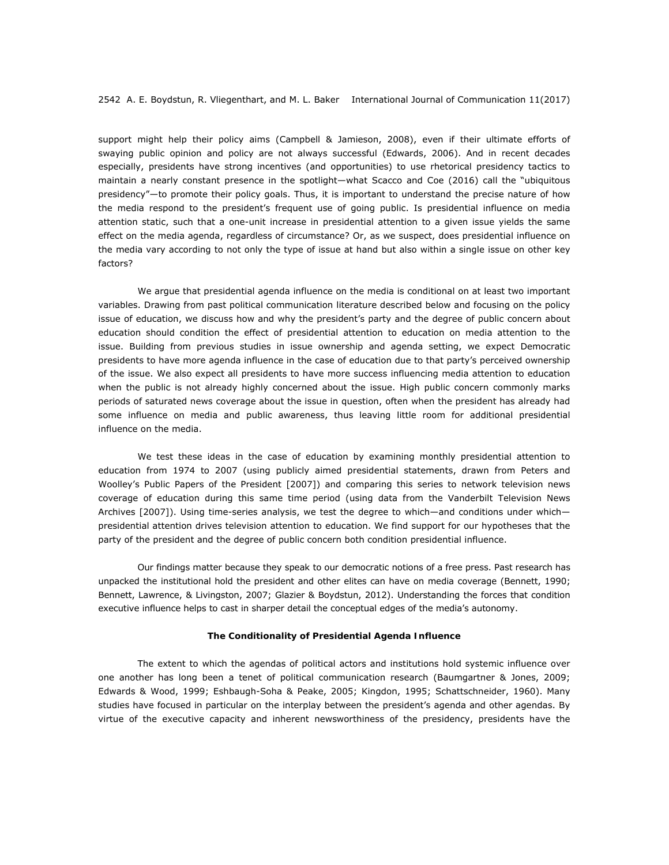support might help their policy aims (Campbell & Jamieson, 2008), even if their ultimate efforts of swaying public opinion and policy are not always successful (Edwards, 2006). And in recent decades especially, presidents have strong incentives (and opportunities) to use rhetorical presidency tactics to maintain a nearly constant presence in the spotlight—what Scacco and Coe (2016) call the "ubiquitous presidency"—to promote their policy goals. Thus, it is important to understand the precise nature of how the media respond to the president's frequent use of going public. Is presidential influence on media attention static, such that a one-unit increase in presidential attention to a given issue yields the same effect on the media agenda, regardless of circumstance? Or, as we suspect, does presidential influence on the media vary according to not only the type of issue at hand but also within a single issue on other key factors?

We argue that presidential agenda influence on the media is conditional on at least two important variables. Drawing from past political communication literature described below and focusing on the policy issue of education, we discuss how and why the president's party and the degree of public concern about education should condition the effect of presidential attention to education on media attention to the issue. Building from previous studies in issue ownership and agenda setting, we expect Democratic presidents to have more agenda influence in the case of education due to that party's perceived ownership of the issue. We also expect all presidents to have more success influencing media attention to education when the public is not already highly concerned about the issue. High public concern commonly marks periods of saturated news coverage about the issue in question, often when the president has already had some influence on media and public awareness, thus leaving little room for additional presidential influence on the media.

We test these ideas in the case of education by examining monthly presidential attention to education from 1974 to 2007 (using publicly aimed presidential statements, drawn from Peters and Woolley's Public Papers of the President [2007]) and comparing this series to network television news coverage of education during this same time period (using data from the Vanderbilt Television News Archives [2007]). Using time-series analysis, we test the degree to which—and conditions under which presidential attention drives television attention to education. We find support for our hypotheses that the party of the president and the degree of public concern both condition presidential influence.

Our findings matter because they speak to our democratic notions of a free press. Past research has unpacked the institutional hold the president and other elites can have on media coverage (Bennett, 1990; Bennett, Lawrence, & Livingston, 2007; Glazier & Boydstun, 2012). Understanding the forces that condition executive influence helps to cast in sharper detail the conceptual edges of the media's autonomy.

#### **The Conditionality of Presidential Agenda Influence**

The extent to which the agendas of political actors and institutions hold systemic influence over one another has long been a tenet of political communication research (Baumgartner & Jones, 2009; Edwards & Wood, 1999; Eshbaugh-Soha & Peake, 2005; Kingdon, 1995; Schattschneider, 1960). Many studies have focused in particular on the interplay between the president's agenda and other agendas. By virtue of the executive capacity and inherent newsworthiness of the presidency, presidents have the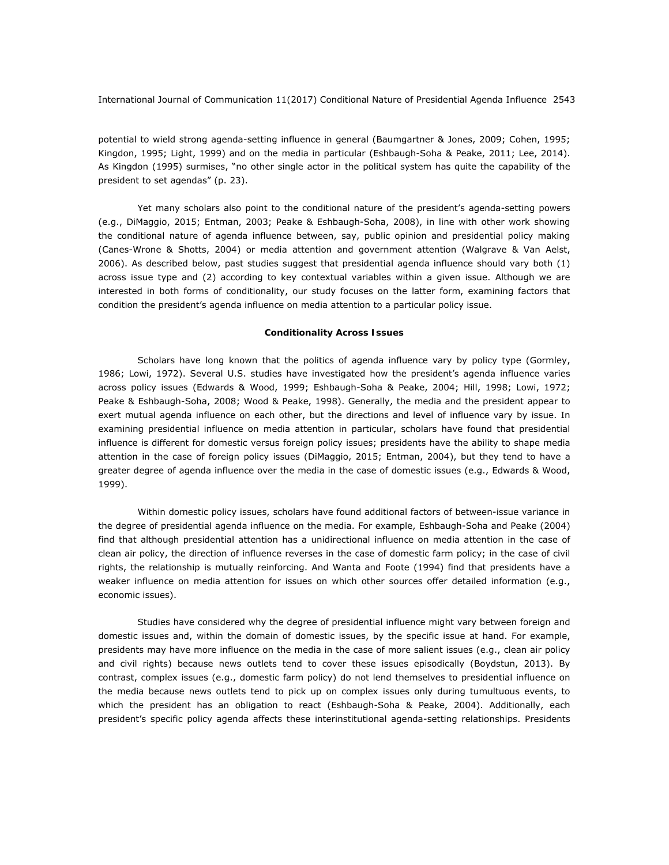potential to wield strong agenda-setting influence in general (Baumgartner & Jones, 2009; Cohen, 1995; Kingdon, 1995; Light, 1999) and on the media in particular (Eshbaugh-Soha & Peake, 2011; Lee, 2014). As Kingdon (1995) surmises, "no other single actor in the political system has quite the capability of the president to set agendas" (p. 23).

Yet many scholars also point to the conditional nature of the president's agenda-setting powers (e.g., DiMaggio, 2015; Entman, 2003; Peake & Eshbaugh-Soha, 2008), in line with other work showing the conditional nature of agenda influence between, say, public opinion and presidential policy making (Canes-Wrone & Shotts, 2004) or media attention and government attention (Walgrave & Van Aelst, 2006). As described below, past studies suggest that presidential agenda influence should vary both (1) across issue type and (2) according to key contextual variables within a given issue. Although we are interested in both forms of conditionality, our study focuses on the latter form, examining factors that condition the president's agenda influence on media attention to a particular policy issue.

#### *Conditionality Across Issues*

Scholars have long known that the politics of agenda influence vary by policy type (Gormley, 1986; Lowi, 1972). Several U.S. studies have investigated how the president's agenda influence varies across policy issues (Edwards & Wood, 1999; Eshbaugh-Soha & Peake, 2004; Hill, 1998; Lowi, 1972; Peake & Eshbaugh-Soha, 2008; Wood & Peake, 1998). Generally, the media and the president appear to exert mutual agenda influence on each other, but the directions and level of influence vary by issue. In examining presidential influence on media attention in particular, scholars have found that presidential influence is different for domestic versus foreign policy issues; presidents have the ability to shape media attention in the case of foreign policy issues (DiMaggio, 2015; Entman, 2004), but they tend to have a greater degree of agenda influence over the media in the case of domestic issues (e.g., Edwards & Wood, 1999).

Within domestic policy issues, scholars have found additional factors of between-issue variance in the degree of presidential agenda influence on the media. For example, Eshbaugh-Soha and Peake (2004) find that although presidential attention has a unidirectional influence on media attention in the case of clean air policy, the direction of influence reverses in the case of domestic farm policy; in the case of civil rights, the relationship is mutually reinforcing. And Wanta and Foote (1994) find that presidents have a weaker influence on media attention for issues on which other sources offer detailed information (e.g., economic issues).

Studies have considered why the degree of presidential influence might vary between foreign and domestic issues and, within the domain of domestic issues, by the specific issue at hand. For example, presidents may have more influence on the media in the case of more salient issues (e.g., clean air policy and civil rights) because news outlets tend to cover these issues episodically (Boydstun, 2013). By contrast, complex issues (e.g., domestic farm policy) do not lend themselves to presidential influence on the media because news outlets tend to pick up on complex issues only during tumultuous events, to which the president has an obligation to react (Eshbaugh-Soha & Peake, 2004). Additionally, each president's specific policy agenda affects these interinstitutional agenda-setting relationships. Presidents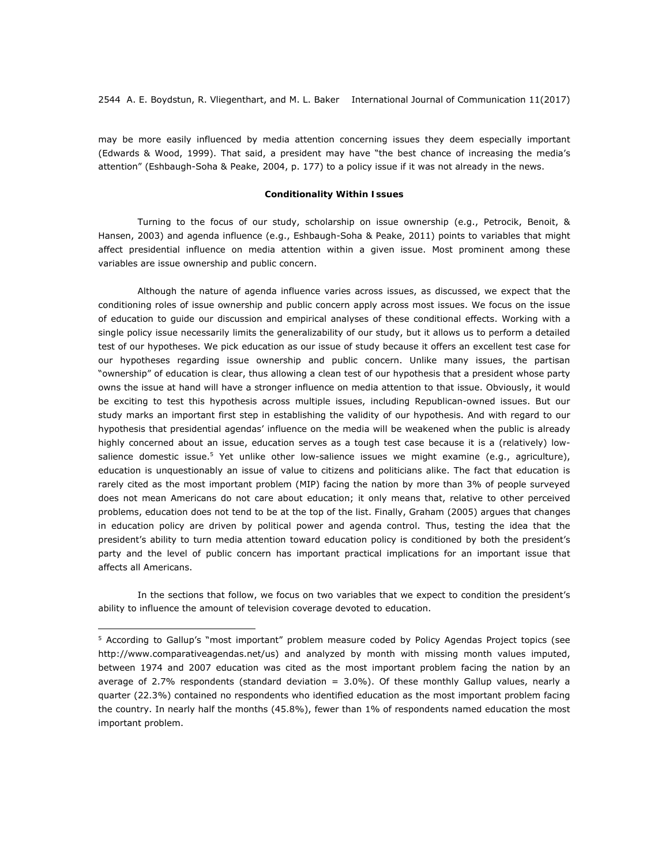may be more easily influenced by media attention concerning issues they deem especially important (Edwards & Wood, 1999). That said, a president may have "the best chance of increasing the media's attention" (Eshbaugh-Soha & Peake, 2004, p. 177) to a policy issue if it was not already in the news.

#### *Conditionality Within Issues*

Turning to the focus of our study, scholarship on issue ownership (e.g., Petrocik, Benoit, & Hansen, 2003) and agenda influence (e.g., Eshbaugh-Soha & Peake, 2011) points to variables that might affect presidential influence on media attention within a given issue. Most prominent among these variables are issue ownership and public concern.

Although the nature of agenda influence varies across issues, as discussed, we expect that the conditioning roles of issue ownership and public concern apply across most issues. We focus on the issue of education to guide our discussion and empirical analyses of these conditional effects. Working with a single policy issue necessarily limits the generalizability of our study, but it allows us to perform a detailed test of our hypotheses. We pick education as our issue of study because it offers an excellent test case for our hypotheses regarding issue ownership and public concern. Unlike many issues, the partisan "ownership" of education is clear, thus allowing a clean test of our hypothesis that a president whose party owns the issue at hand will have a stronger influence on media attention to that issue. Obviously, it would be exciting to test this hypothesis across multiple issues, including Republican-owned issues. But our study marks an important first step in establishing the validity of our hypothesis. And with regard to our hypothesis that presidential agendas' influence on the media will be weakened when the public is already highly concerned about an issue, education serves as a tough test case because it is a (relatively) lowsalience domestic issue.<sup>5</sup> Yet unlike other low-salience issues we might examine (e.g., agriculture), education is unquestionably an issue of value to citizens and politicians alike. The fact that education is rarely cited as the most important problem (MIP) facing the nation by more than 3% of people surveyed does not mean Americans do not care about education; it only means that, relative to other perceived problems, education does not tend to be at the top of the list. Finally, Graham (2005) argues that changes in education policy are driven by political power and agenda control. Thus, testing the idea that the president's ability to turn media attention toward education policy is conditioned by both the president's party and the level of public concern has important practical implications for an important issue that affects all Americans.

In the sections that follow, we focus on two variables that we expect to condition the president's ability to influence the amount of television coverage devoted to education.

<sup>&</sup>lt;sup>5</sup> According to Gallup's "most important" problem measure coded by Policy Agendas Project topics (see http://www.comparativeagendas.net/us) and analyzed by month with missing month values imputed, between 1974 and 2007 education was cited as the most important problem facing the nation by an average of 2.7% respondents (standard deviation = 3.0%). Of these monthly Gallup values, nearly a quarter (22.3%) contained no respondents who identified education as the most important problem facing the country. In nearly half the months (45.8%), fewer than 1% of respondents named education the most important problem.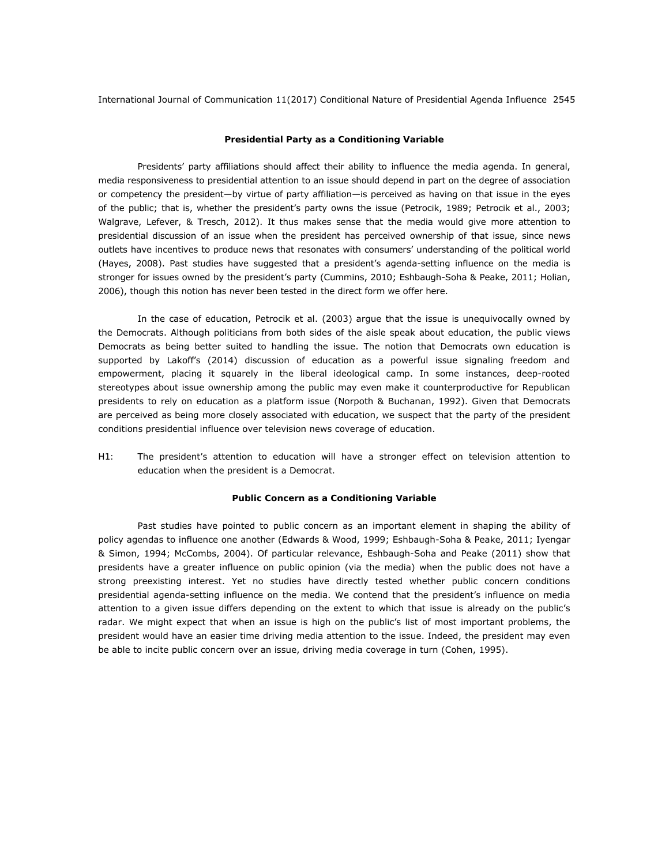#### *Presidential Party as a Conditioning Variable*

Presidents' party affiliations should affect their ability to influence the media agenda. In general, media responsiveness to presidential attention to an issue should depend in part on the degree of association or competency the president—by virtue of party affiliation—is perceived as having on that issue in the eyes of the public; that is, whether the president's party owns the issue (Petrocik, 1989; Petrocik et al., 2003; Walgrave, Lefever, & Tresch, 2012). It thus makes sense that the media would give more attention to presidential discussion of an issue when the president has perceived ownership of that issue, since news outlets have incentives to produce news that resonates with consumers' understanding of the political world (Hayes, 2008). Past studies have suggested that a president's agenda-setting influence on the media is stronger for issues owned by the president's party (Cummins, 2010; Eshbaugh-Soha & Peake, 2011; Holian, 2006), though this notion has never been tested in the direct form we offer here.

In the case of education, Petrocik et al. (2003) argue that the issue is unequivocally owned by the Democrats. Although politicians from both sides of the aisle speak about education, the public views Democrats as being better suited to handling the issue. The notion that Democrats own education is supported by Lakoff's (2014) discussion of education as a powerful issue signaling freedom and empowerment, placing it squarely in the liberal ideological camp. In some instances, deep-rooted stereotypes about issue ownership among the public may even make it counterproductive for Republican presidents to rely on education as a platform issue (Norpoth & Buchanan, 1992). Given that Democrats are perceived as being more closely associated with education, we suspect that the party of the president conditions presidential influence over television news coverage of education.

*H1: The president's attention to education will have a stronger effect on television attention to education when the president is a Democrat.* 

#### *Public Concern as a Conditioning Variable*

Past studies have pointed to public concern as an important element in shaping the ability of policy agendas to influence one another (Edwards & Wood, 1999; Eshbaugh-Soha & Peake, 2011; Iyengar & Simon, 1994; McCombs, 2004). Of particular relevance, Eshbaugh-Soha and Peake (2011) show that presidents have a greater influence on public opinion (via the media) when the public does not have a strong preexisting interest. Yet no studies have directly tested whether public concern conditions presidential agenda-setting influence on the media. We contend that the president's influence on media attention to a given issue differs depending on the extent to which that issue is already on the public's radar. We might expect that when an issue is high on the public's list of most important problems, the president would have an easier time driving media attention to the issue. Indeed, the president may even be able to incite public concern over an issue, driving media coverage in turn (Cohen, 1995).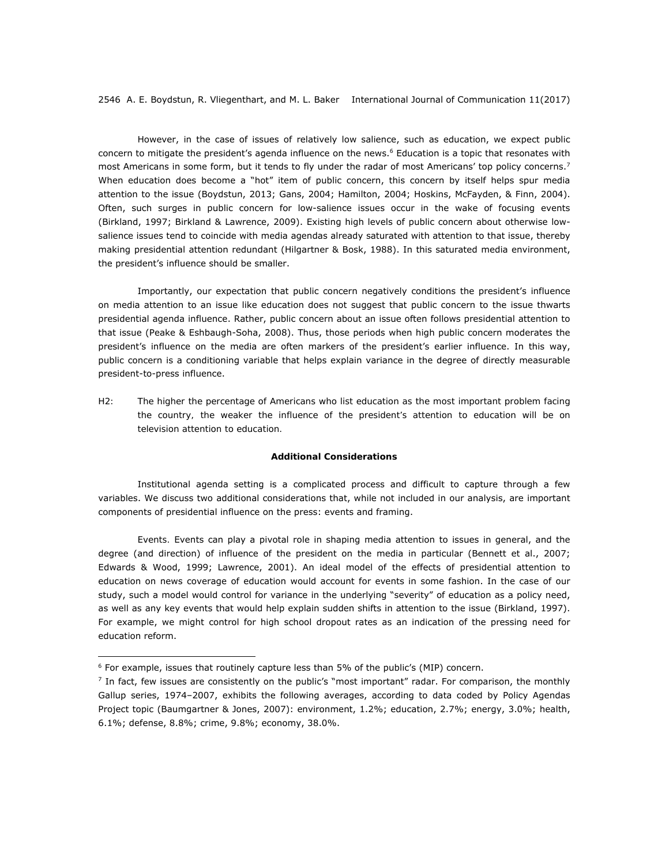However, in the case of issues of relatively low salience, such as education, we expect public concern to mitigate the president's agenda influence on the news.<sup>6</sup> Education is a topic that resonates with most Americans in some form, but it tends to fly under the radar of most Americans' top policy concerns.<sup>7</sup> When education does become a "hot" item of public concern, this concern by itself helps spur media attention to the issue (Boydstun, 2013; Gans, 2004; Hamilton, 2004; Hoskins, McFayden, & Finn, 2004). Often, such surges in public concern for low-salience issues occur in the wake of focusing events (Birkland, 1997; Birkland & Lawrence, 2009). Existing high levels of public concern about otherwise lowsalience issues tend to coincide with media agendas already saturated with attention to that issue, thereby making presidential attention redundant (Hilgartner & Bosk, 1988). In this saturated media environment, the president's influence should be smaller.

Importantly, our expectation that public concern negatively conditions the president's influence on media attention to an issue like education does not suggest that public concern to the issue thwarts presidential agenda influence. Rather, public concern about an issue often follows presidential attention to that issue (Peake & Eshbaugh-Soha, 2008). Thus, those periods when high public concern moderates the president's influence on the media are often markers of the president's earlier influence. In this way, public concern is a conditioning variable that helps explain variance in the degree of directly measurable president-to-press influence.

*H2: The higher the percentage of Americans who list education as the most important problem facing the country, the weaker the influence of the president's attention to education will be on television attention to education.* 

#### *Additional Considerations*

Institutional agenda setting is a complicated process and difficult to capture through a few variables. We discuss two additional considerations that, while not included in our analysis, are important components of presidential influence on the press: events and framing.

*Events.* Events can play a pivotal role in shaping media attention to issues in general, and the degree (and direction) of influence of the president on the media in particular (Bennett et al., 2007; Edwards & Wood, 1999; Lawrence, 2001). An ideal model of the effects of presidential attention to education on news coverage of education would account for events in some fashion. In the case of our study, such a model would control for variance in the underlying "severity" of education as a policy need, as well as any key events that would help explain sudden shifts in attention to the issue (Birkland, 1997). For example, we might control for high school dropout rates as an indication of the pressing need for education reform.

 $6$  For example, issues that routinely capture less than 5% of the public's (MIP) concern.

 $<sup>7</sup>$  In fact, few issues are consistently on the public's "most important" radar. For comparison, the monthly</sup> Gallup series, 1974–2007, exhibits the following averages, according to data coded by Policy Agendas Project topic (Baumgartner & Jones, 2007): environment, 1.2%; education, 2.7%; energy, 3.0%; health, 6.1%; defense, 8.8%; crime, 9.8%; economy, 38.0%.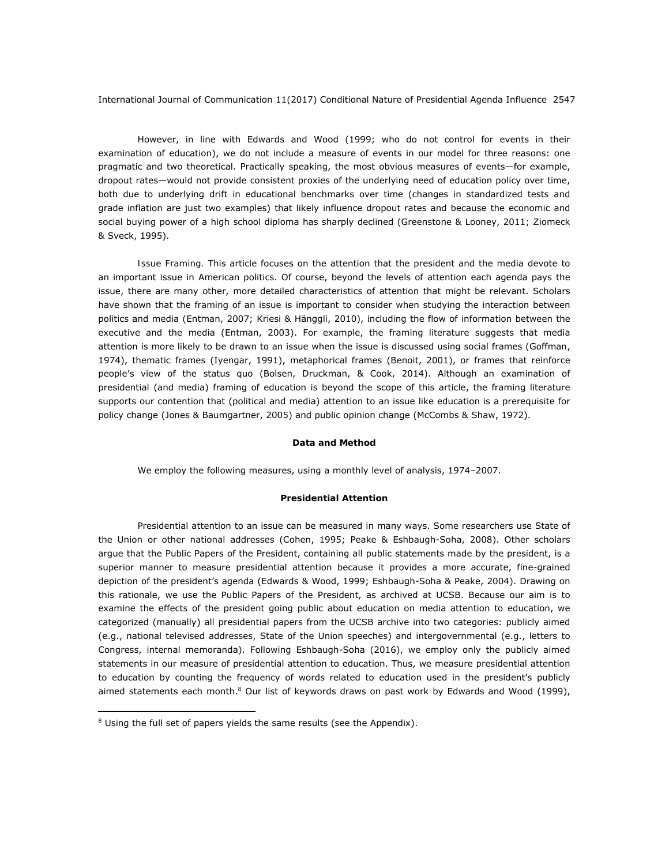However, in line with Edwards and Wood (1999; who do not control for events in their examination of education), we do not include a measure of events in our model for three reasons: one pragmatic and two theoretical. Practically speaking, the most obvious measures of events—for example, dropout rates—would not provide consistent proxies of the underlying need of education policy over time, both due to underlying drift in educational benchmarks over time (changes in standardized tests and grade inflation are just two examples) that likely influence dropout rates and because the economic and social buying power of a high school diploma has sharply declined (Greenstone & Looney, 2011; Ziomeck & Sveck, 1995).

*Issue Framing.* This article focuses on the attention that the president and the media devote to an important issue in American politics. Of course, beyond the levels of attention each agenda pays the issue, there are many other, more detailed characteristics of attention that might be relevant. Scholars have shown that the *framing* of an issue is important to consider when studying the interaction between politics and media (Entman, 2007; Kriesi & Hänggli, 2010), including the flow of information between the executive and the media (Entman, 2003). For example, the framing literature suggests that media attention is more likely to be drawn to an issue when the issue is discussed using social frames (Goffman, 1974), thematic frames (Iyengar, 1991), metaphorical frames (Benoit, 2001), or frames that reinforce people's view of the status quo (Bolsen, Druckman, & Cook, 2014). Although an examination of presidential (and media) framing of education is beyond the scope of this article, the framing literature supports our contention that (political and media) attention to an issue like education is a prerequisite for policy change (Jones & Baumgartner, 2005) and public opinion change (McCombs & Shaw, 1972).

#### **Data and Method**

We employ the following measures, using a monthly level of analysis, 1974–2007.

#### *Presidential Attention*

Presidential attention to an issue can be measured in many ways. Some researchers use State of the Union or other national addresses (Cohen, 1995; Peake & Eshbaugh-Soha, 2008). Other scholars argue that the Public Papers of the President, containing all public statements made by the president, is a superior manner to measure presidential attention because it provides a more accurate, fine-grained depiction of the president's agenda (Edwards & Wood, 1999; Eshbaugh-Soha & Peake, 2004). Drawing on this rationale, we use the Public Papers of the President, as archived at UCSB. Because our aim is to examine the effects of the president going public about education on media attention to education, we categorized (manually) all presidential papers from the UCSB archive into two categories: publicly aimed (e.g., national televised addresses, State of the Union speeches) and intergovernmental (e.g., letters to Congress, internal memoranda). Following Eshbaugh-Soha (2016), we employ only the publicly aimed statements in our measure of presidential attention to education. Thus, we measure presidential attention to education by counting the frequency of words related to education used in the president's publicly aimed statements each month. $8$  Our list of keywords draws on past work by Edwards and Wood (1999),

<sup>&</sup>lt;sup>8</sup> Using the full set of papers yields the same results (see the Appendix).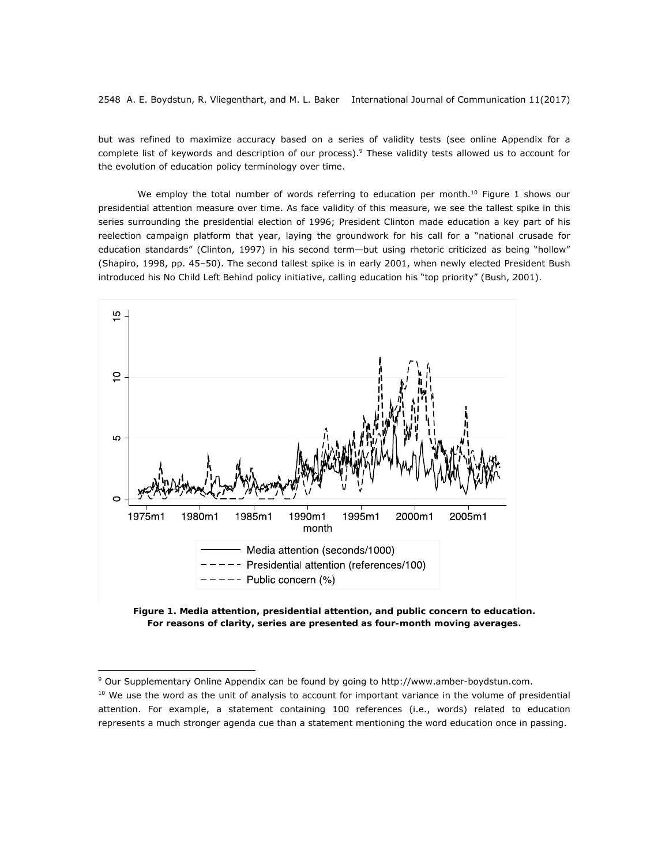but was refined to maximize accuracy based on a series of validity tests (see online Appendix for a complete list of keywords and description of our process).<sup>9</sup> These validity tests allowed us to account for the evolution of education policy terminology over time.

We employ the total number of words referring to education per month.<sup>10</sup> Figure 1 shows our presidential attention measure over time. As face validity of this measure, we see the tallest spike in this series surrounding the presidential election of 1996; President Clinton made education a key part of his reelection campaign platform that year, laying the groundwork for his call for a "national crusade for education standards" (Clinton, 1997) in his second term—but using rhetoric criticized as being "hollow" (Shapiro, 1998, pp. 45–50). The second tallest spike is in early 2001, when newly elected President Bush introduced his No Child Left Behind policy initiative, calling education his "top priority" (Bush, 2001).



*Figure 1. Media attention, presidential attention, and public concern to education. For reasons of clarity, series are presented as four-month moving averages.* 

<sup>9</sup> Our Supplementary Online Appendix can be found by going to http://www.amber-boydstun.com.

 $10$  We use the word as the unit of analysis to account for important variance in the volume of presidential attention. For example, a statement containing 100 references (i.e., words) related to education represents a much stronger agenda cue than a statement mentioning the word *education* once in passing.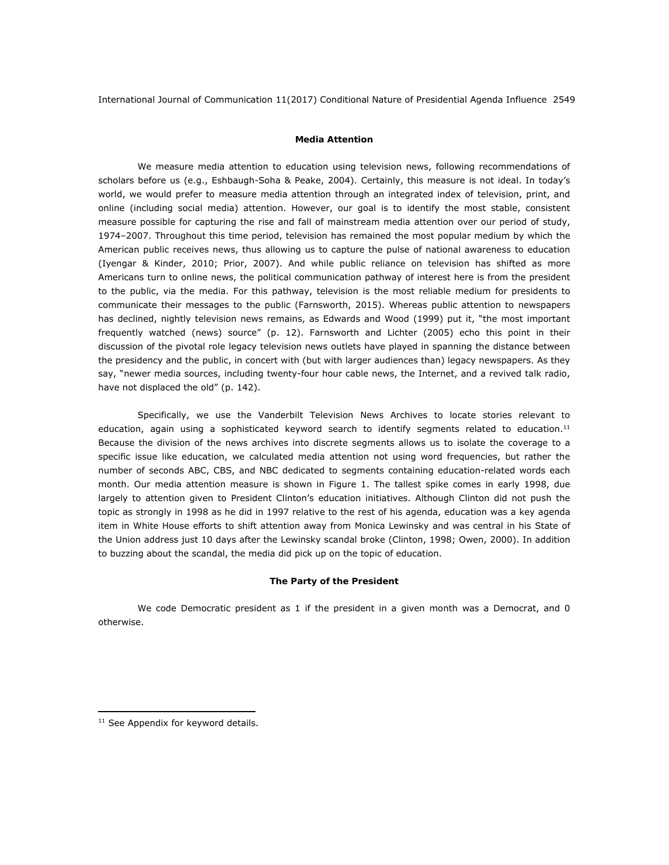#### *Media Attention*

We measure media attention to education using television news, following recommendations of scholars before us (e.g., Eshbaugh-Soha & Peake, 2004). Certainly, this measure is not ideal. In today's world, we would prefer to measure media attention through an integrated index of television, print, and online (including social media) attention. However, our goal is to identify the most stable, consistent measure possible for capturing the rise and fall of mainstream media attention over our period of study, 1974–2007. Throughout this time period, television has remained the most popular medium by which the American public receives news, thus allowing us to capture the pulse of national awareness to education (Iyengar & Kinder, 2010; Prior, 2007). And while public reliance on television has shifted as more Americans turn to online news, the political communication pathway of interest here is from the president to the public, via the media. For this pathway, television is the most reliable medium for presidents to communicate their messages to the public (Farnsworth, 2015). Whereas public attention to newspapers has declined, nightly television news remains, as Edwards and Wood (1999) put it, "the most important frequently watched (news) source" (p. 12). Farnsworth and Lichter (2005) echo this point in their discussion of the pivotal role legacy television news outlets have played in spanning the distance between the presidency and the public, in concert with (but with larger audiences than) legacy newspapers. As they say, "newer media sources, including twenty-four hour cable news, the Internet, and a revived talk radio, have not displaced the old" (p. 142).

Specifically, we use the Vanderbilt Television News Archives to locate stories relevant to education, again using a sophisticated keyword search to identify segments related to education.<sup>11</sup> Because the division of the news archives into discrete segments allows us to isolate the coverage to a specific issue like education, we calculated media attention not using word frequencies, but rather the number of seconds ABC, CBS, and NBC dedicated to segments containing education-related words each month. Our media attention measure is shown in Figure 1. The tallest spike comes in early 1998, due largely to attention given to President Clinton's education initiatives. Although Clinton did not push the topic as strongly in 1998 as he did in 1997 relative to the rest of his agenda, education was a key agenda item in White House efforts to shift attention away from Monica Lewinsky and was central in his State of the Union address just 10 days after the Lewinsky scandal broke (Clinton, 1998; Owen, 2000). In addition to buzzing about the scandal, the media did pick up on the topic of education.

#### *The Party of the President*

We code Democratic president as 1 if the president in a given month was a Democrat, and 0 otherwise.

<sup>&</sup>lt;sup>11</sup> See Appendix for keyword details.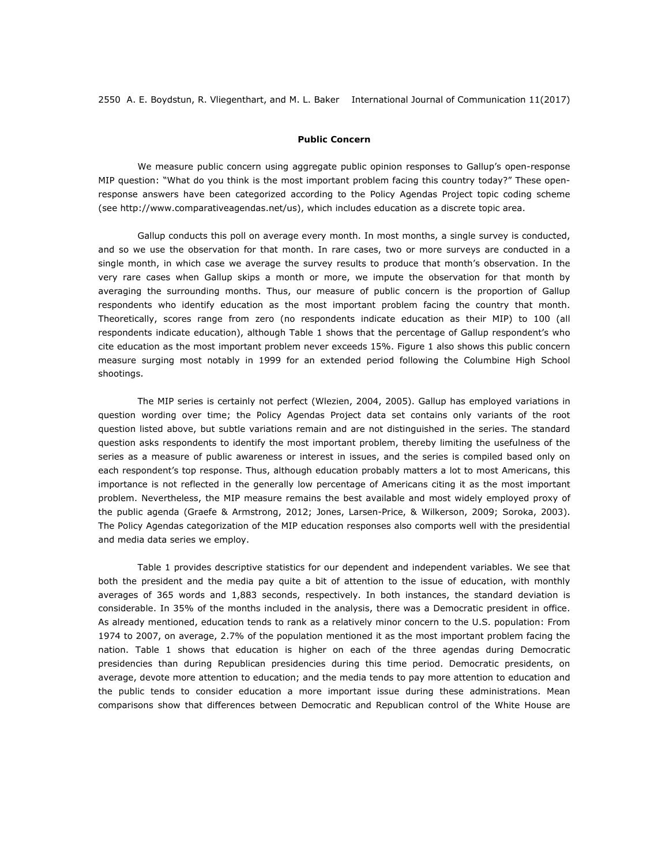#### *Public Concern*

We measure public concern using aggregate public opinion responses to Gallup's open-response MIP question: "What do you think is the most important problem facing this country today?" These openresponse answers have been categorized according to the Policy Agendas Project topic coding scheme (see http://www.comparativeagendas.net/us), which includes education as a discrete topic area.

Gallup conducts this poll on average every month. In most months, a single survey is conducted, and so we use the observation for that month. In rare cases, two or more surveys are conducted in a single month, in which case we average the survey results to produce that month's observation. In the very rare cases when Gallup skips a month or more, we impute the observation for that month by averaging the surrounding months. Thus, our measure of public concern is the proportion of Gallup respondents who identify education as the most important problem facing the country that month. Theoretically, scores range from zero (no respondents indicate education as their MIP) to 100 (all respondents indicate education), although Table 1 shows that the percentage of Gallup respondent's who cite education as the most important problem never exceeds 15%. Figure 1 also shows this public concern measure surging most notably in 1999 for an extended period following the Columbine High School shootings.

The MIP series is certainly not perfect (Wlezien, 2004, 2005). Gallup has employed variations in question wording over time; the Policy Agendas Project data set contains only variants of the root question listed above, but subtle variations remain and are not distinguished in the series. The standard question asks respondents to identify the most important problem, thereby limiting the usefulness of the series as a measure of public awareness or interest in issues, and the series is compiled based only on each respondent's top response. Thus, although education probably matters a lot to most Americans, this importance is not reflected in the generally low percentage of Americans citing it as the most important problem. Nevertheless, the MIP measure remains the best available and most widely employed proxy of the public agenda (Graefe & Armstrong, 2012; Jones, Larsen-Price, & Wilkerson, 2009; Soroka, 2003). The Policy Agendas categorization of the MIP education responses also comports well with the presidential and media data series we employ.

Table 1 provides descriptive statistics for our dependent and independent variables. We see that both the president and the media pay quite a bit of attention to the issue of education, with monthly averages of 365 words and 1,883 seconds, respectively. In both instances, the standard deviation is considerable. In 35% of the months included in the analysis, there was a Democratic president in office. As already mentioned, education tends to rank as a relatively minor concern to the U.S. population: From 1974 to 2007, on average, 2.7% of the population mentioned it as the most important problem facing the nation. Table 1 shows that education is higher on each of the three agendas during Democratic presidencies than during Republican presidencies during this time period. Democratic presidents, on average, devote more attention to education; and the media tends to pay more attention to education and the public tends to consider education a more important issue during these administrations. Mean comparisons show that differences between Democratic and Republican control of the White House are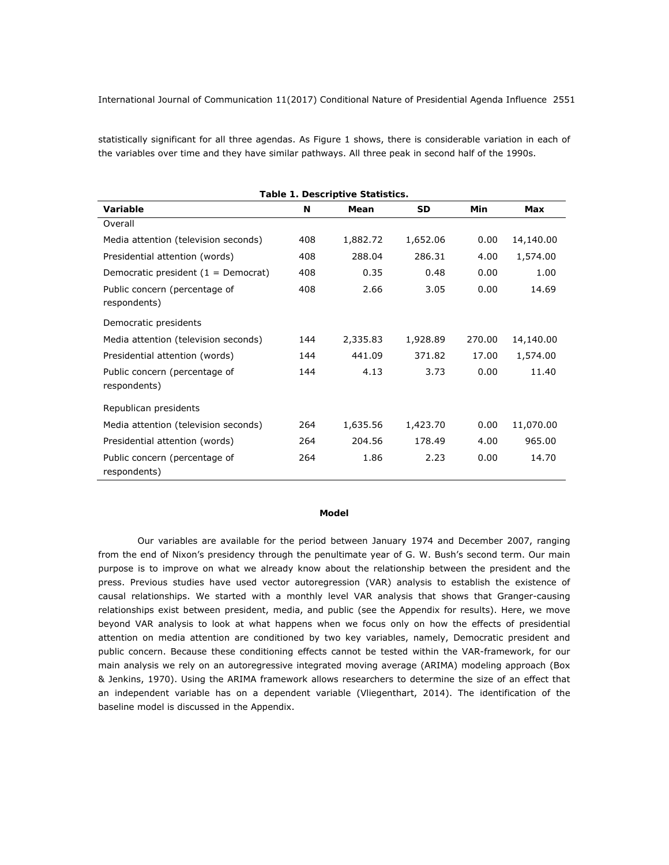statistically significant for all three agendas. As Figure 1 shows, there is considerable variation in each of the variables over time and they have similar pathways. All three peak in second half of the 1990s.

| Table 1. Descriptive Statistics.              |     |          |          |        |           |  |  |  |  |
|-----------------------------------------------|-----|----------|----------|--------|-----------|--|--|--|--|
| Variable                                      | N   | Mean     | SD       | Min    | Max       |  |  |  |  |
| Overall                                       |     |          |          |        |           |  |  |  |  |
| Media attention (television seconds)          | 408 | 1,882.72 | 1,652.06 | 0.00   | 14,140.00 |  |  |  |  |
| Presidential attention (words)                | 408 | 288.04   | 286.31   | 4.00   | 1,574.00  |  |  |  |  |
| Democratic president $(1 =$ Democrat)         | 408 | 0.35     | 0.48     | 0.00   | 1.00      |  |  |  |  |
| Public concern (percentage of<br>respondents) | 408 | 2.66     | 3.05     | 0.00   | 14.69     |  |  |  |  |
| Democratic presidents                         |     |          |          |        |           |  |  |  |  |
| Media attention (television seconds)          | 144 | 2,335.83 | 1,928.89 | 270.00 | 14,140.00 |  |  |  |  |
| Presidential attention (words)                | 144 | 441.09   | 371.82   | 17.00  | 1,574.00  |  |  |  |  |
| Public concern (percentage of<br>respondents) | 144 | 4.13     | 3.73     | 0.00   | 11.40     |  |  |  |  |
| Republican presidents                         |     |          |          |        |           |  |  |  |  |
| Media attention (television seconds)          | 264 | 1,635.56 | 1,423.70 | 0.00   | 11,070.00 |  |  |  |  |
| Presidential attention (words)                | 264 | 204.56   | 178.49   | 4.00   | 965.00    |  |  |  |  |
| Public concern (percentage of<br>respondents) | 264 | 1.86     | 2.23     | 0.00   | 14.70     |  |  |  |  |

#### *Model*

Our variables are available for the period between January 1974 and December 2007, ranging from the end of Nixon's presidency through the penultimate year of G. W. Bush's second term. Our main purpose is to improve on what we already know about the relationship between the president and the press. Previous studies have used vector autoregression (VAR) analysis to establish the existence of causal relationships. We started with a monthly level VAR analysis that shows that Granger-causing relationships exist between president, media, and public (see the Appendix for results). Here, we move beyond VAR analysis to look at what happens when we focus only on how the effects of presidential attention on media attention are conditioned by two key variables, namely, Democratic president and public concern. Because these conditioning effects cannot be tested within the VAR-framework, for our main analysis we rely on an autoregressive integrated moving average (ARIMA) modeling approach (Box & Jenkins, 1970). Using the ARIMA framework allows researchers to determine the size of an effect that an independent variable has on a dependent variable (Vliegenthart, 2014). The identification of the baseline model is discussed in the Appendix.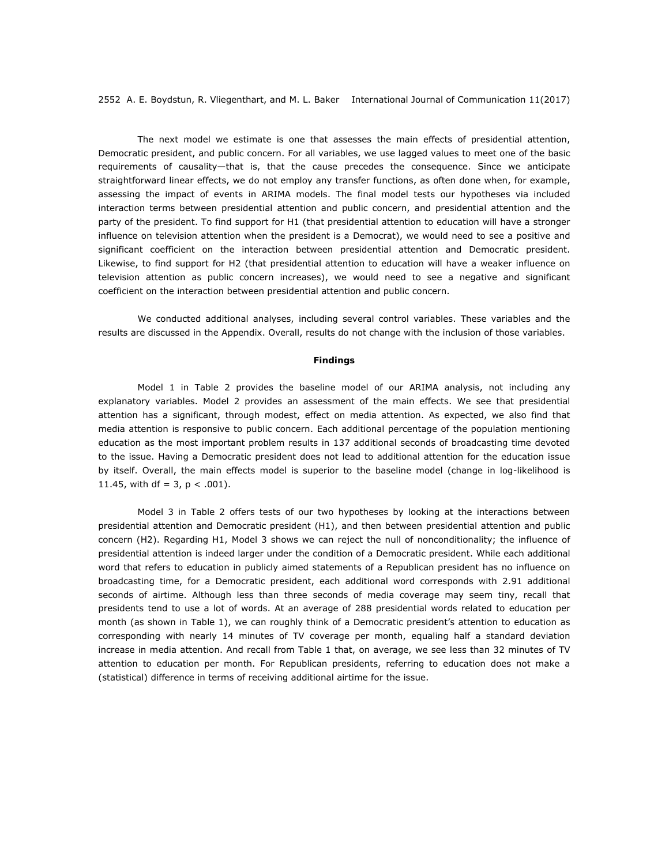The next model we estimate is one that assesses the main effects of presidential attention, Democratic president, and public concern. For all variables, we use lagged values to meet one of the basic requirements of causality—that is, that the cause precedes the consequence. Since we anticipate straightforward linear effects, we do not employ any transfer functions, as often done when, for example, assessing the impact of events in ARIMA models. The final model tests our hypotheses via included interaction terms between presidential attention and public concern, and presidential attention and the party of the president. To find support for H1 (that presidential attention to education will have a stronger influence on television attention when the president is a Democrat), we would need to see a positive and significant coefficient on the interaction between presidential attention and Democratic president. Likewise, to find support for H2 (that presidential attention to education will have a weaker influence on television attention as public concern increases), we would need to see a negative and significant coefficient on the interaction between presidential attention and public concern.

We conducted additional analyses, including several control variables. These variables and the results are discussed in the Appendix. Overall, results do not change with the inclusion of those variables.

#### *Findings*

Model 1 in Table 2 provides the baseline model of our ARIMA analysis, not including any explanatory variables. Model 2 provides an assessment of the main effects. We see that presidential attention has a significant, through modest, effect on media attention. As expected, we also find that media attention is responsive to public concern. Each additional percentage of the population mentioning education as the most important problem results in 137 additional seconds of broadcasting time devoted to the issue. Having a Democratic president does not lead to additional attention for the education issue by itself. Overall, the main effects model is superior to the baseline model (change in log-likelihood is 11.45, with *df* = 3, *p* < .001).

Model 3 in Table 2 offers tests of our two hypotheses by looking at the interactions between presidential attention and Democratic president (H1), and then between presidential attention and public concern (H2). Regarding H1, Model 3 shows we can reject the null of nonconditionality; the influence of presidential attention is indeed larger under the condition of a Democratic president. While each additional word that refers to education in publicly aimed statements of a Republican president has no influence on broadcasting time, for a Democratic president, each additional word corresponds with 2.91 additional seconds of airtime. Although less than three seconds of media coverage may seem tiny, recall that presidents tend to use a lot of words. At an average of 288 presidential words related to education per month (as shown in Table 1), we can roughly think of a Democratic president's attention to education as corresponding with nearly 14 minutes of TV coverage per month, equaling half a standard deviation increase in media attention. And recall from Table 1 that, on average, we see less than 32 minutes of TV attention to education per month. For Republican presidents, referring to education does not make a (statistical) difference in terms of receiving additional airtime for the issue.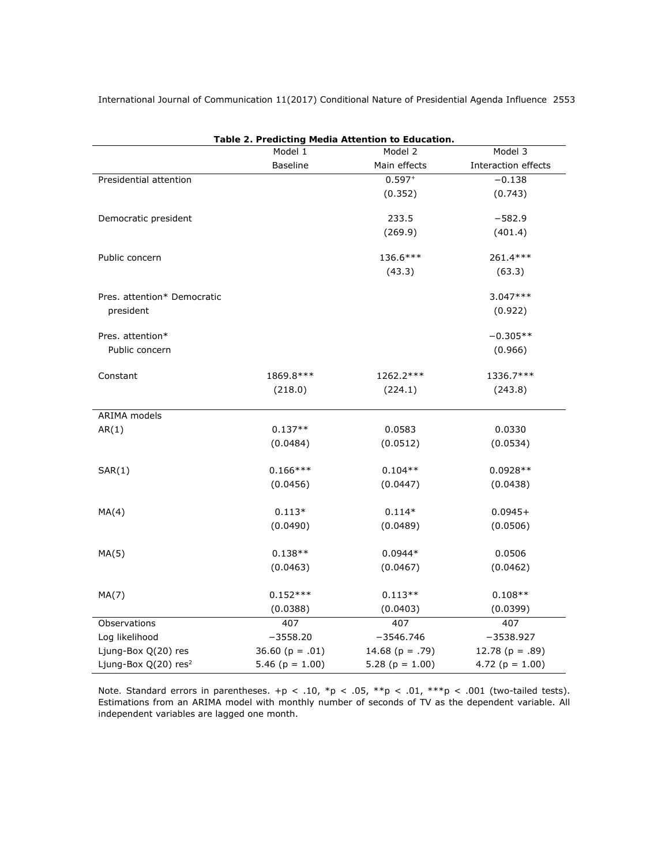|                                  |                     | Table 2. Predicting Media Attention to Education. |                     |  |
|----------------------------------|---------------------|---------------------------------------------------|---------------------|--|
|                                  | Model 1             | Model 3<br>Model 2                                |                     |  |
|                                  | <b>Baseline</b>     | Main effects                                      | Interaction effects |  |
| Presidential attention           |                     | $0.597+$                                          | $-0.138$            |  |
|                                  |                     | (0.352)                                           | (0.743)             |  |
| Democratic president             |                     | 233.5                                             | $-582.9$            |  |
|                                  |                     | (269.9)                                           | (401.4)             |  |
|                                  |                     |                                                   |                     |  |
| Public concern                   |                     | 136.6***                                          | 261.4***            |  |
|                                  |                     | (43.3)                                            | (63.3)              |  |
| Pres. attention* Democratic      |                     |                                                   | $3.047***$          |  |
| president                        |                     |                                                   | (0.922)             |  |
|                                  |                     |                                                   |                     |  |
| Pres. attention*                 |                     |                                                   | $-0.305**$          |  |
| Public concern                   |                     |                                                   | (0.966)             |  |
|                                  |                     |                                                   |                     |  |
| Constant                         | 1869.8***           | 1262.2***                                         | 1336.7***           |  |
|                                  | (218.0)             | (224.1)                                           | (243.8)             |  |
| ARIMA models                     |                     |                                                   |                     |  |
| AR(1)                            | $0.137**$           | 0.0583                                            | 0.0330              |  |
|                                  | (0.0484)            | (0.0512)                                          | (0.0534)            |  |
|                                  |                     |                                                   |                     |  |
| SAR(1)                           | $0.166***$          | $0.104**$                                         | $0.0928**$          |  |
|                                  | (0.0456)            | (0.0447)                                          | (0.0438)            |  |
|                                  |                     |                                                   |                     |  |
| MA(4)                            | $0.113*$            | $0.114*$                                          | $0.0945+$           |  |
|                                  | (0.0490)            | (0.0489)                                          | (0.0506)            |  |
| MA(5)                            | $0.138**$           | $0.0944*$                                         | 0.0506              |  |
|                                  | (0.0463)            | (0.0467)                                          | (0.0462)            |  |
|                                  |                     |                                                   |                     |  |
| MA(7)                            | $0.152***$          | $0.113**$                                         | $0.108**$           |  |
|                                  | (0.0388)            | (0.0403)                                          | (0.0399)            |  |
| Observations                     | 407                 | 407                                               | 407                 |  |
| Log likelihood                   | $-3558.20$          | $-3546.746$                                       | $-3538.927$         |  |
| Ljung-Box Q(20) res              | 36.60 ( $p = .01$ ) | 14.68 ( $p = .79$ )                               | 12.78 $(p=.89)$     |  |
| Ljung-Box Q(20) res <sup>2</sup> | 5.46 ( $p = 1.00$ ) | 5.28 ( $p = 1.00$ )                               | 4.72 ( $p = 1.00$ ) |  |

*Table 2. Predicting Media Attention to Education.*

*Note.* Standard errors in parentheses.  $+p < .10$ ,  $\gamma p < .05$ ,  $\gamma p < .01$ ,  $\gamma p < .001$  (two-tailed tests). Estimations from an ARIMA model with monthly number of seconds of TV as the dependent variable. All independent variables are lagged one month.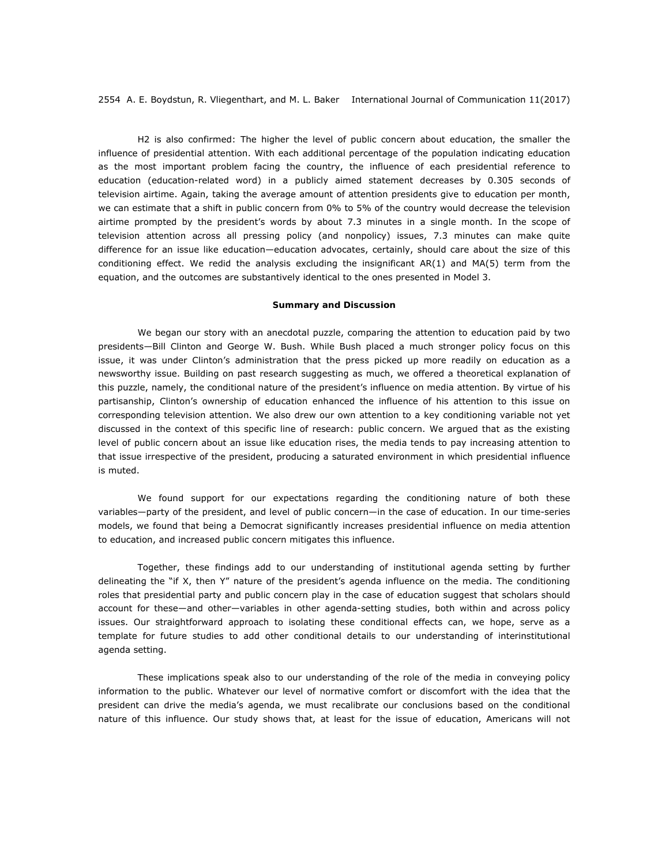H2 is also confirmed: The higher the level of public concern about education, the smaller the influence of presidential attention. With each additional percentage of the population indicating education as the most important problem facing the country, the influence of each presidential reference to education (education-related word) in a publicly aimed statement decreases by 0.305 seconds of television airtime. Again, taking the average amount of attention presidents give to education per month, we can estimate that a shift in public concern from 0% to 5% of the country would decrease the television airtime prompted by the president's words by about 7.3 minutes in a single month. In the scope of television attention across all pressing policy (and nonpolicy) issues, 7.3 minutes can make quite difference for an issue like education—education advocates, certainly, should care about the size of this conditioning effect. We redid the analysis excluding the insignificant AR(1) and MA(5) term from the equation, and the outcomes are substantively identical to the ones presented in Model 3.

#### **Summary and Discussion**

We began our story with an anecdotal puzzle, comparing the attention to education paid by two presidents—Bill Clinton and George W. Bush. While Bush placed a much stronger policy focus on this issue, it was under Clinton's administration that the press picked up more readily on education as a newsworthy issue. Building on past research suggesting as much, we offered a theoretical explanation of this puzzle, namely, the conditional nature of the president's influence on media attention. By virtue of his partisanship, Clinton's ownership of education enhanced the influence of his attention to this issue on corresponding television attention. We also drew our own attention to a key conditioning variable not yet discussed in the context of this specific line of research: public concern. We argued that as the existing level of public concern about an issue like education rises, the media tends to pay increasing attention to that issue irrespective of the president, producing a saturated environment in which presidential influence is muted.

We found support for our expectations regarding the conditioning nature of both these variables—party of the president, and level of public concern—in the case of education. In our time-series models, we found that being a Democrat significantly increases presidential influence on media attention to education, and increased public concern mitigates this influence.

Together, these findings add to our understanding of institutional agenda setting by further delineating the "if X, then Y" nature of the president's agenda influence on the media. The conditioning roles that presidential party and public concern play in the case of education suggest that scholars should account for these—and other—variables in other agenda-setting studies, both within and across policy issues. Our straightforward approach to isolating these conditional effects can, we hope, serve as a template for future studies to add other conditional details to our understanding of interinstitutional agenda setting.

These implications speak also to our understanding of the role of the media in conveying policy information to the public. Whatever our level of normative comfort or discomfort with the idea that the president can drive the media's agenda, we must recalibrate our conclusions based on the conditional nature of this influence. Our study shows that, at least for the issue of education, Americans will not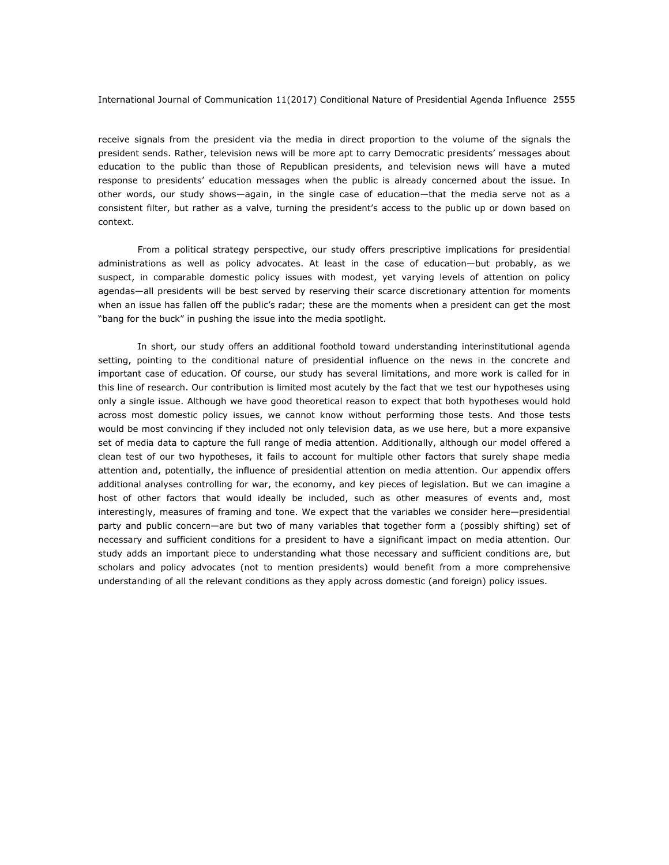receive signals from the president via the media in direct proportion to the volume of the signals the president sends. Rather, television news will be more apt to carry Democratic presidents' messages about education to the public than those of Republican presidents, and television news will have a muted response to presidents' education messages when the public is already concerned about the issue. In other words, our study shows—again, in the single case of education—that the media serve not as a consistent filter, but rather as a valve, turning the president's access to the public up or down based on context.

From a political strategy perspective, our study offers prescriptive implications for presidential administrations as well as policy advocates. At least in the case of education—but probably, as we suspect, in comparable domestic policy issues with modest, yet varying levels of attention on policy agendas—all presidents will be best served by reserving their scarce discretionary attention for moments when an issue has fallen off the public's radar; these are the moments when a president can get the most "bang for the buck" in pushing the issue into the media spotlight.

In short, our study offers an additional foothold toward understanding interinstitutional agenda setting, pointing to the conditional nature of presidential influence on the news in the concrete and important case of education. Of course, our study has several limitations, and more work is called for in this line of research. Our contribution is limited most acutely by the fact that we test our hypotheses using only a single issue. Although we have good theoretical reason to expect that both hypotheses would hold across most domestic policy issues, we cannot know without performing those tests. And those tests would be most convincing if they included not only television data, as we use here, but a more expansive set of media data to capture the full range of media attention. Additionally, although our model offered a clean test of our two hypotheses, it fails to account for multiple other factors that surely shape media attention and, potentially, the influence of presidential attention on media attention. Our appendix offers additional analyses controlling for war, the economy, and key pieces of legislation. But we can imagine a host of other factors that would ideally be included, such as other measures of events and, most interestingly, measures of framing and tone. We expect that the variables we consider here—presidential party and public concern—are but two of many variables that together form a (possibly shifting) set of necessary and sufficient conditions for a president to have a significant impact on media attention. Our study adds an important piece to understanding what those necessary and sufficient conditions are, but scholars and policy advocates (not to mention presidents) would benefit from a more comprehensive understanding of all the relevant conditions as they apply across domestic (and foreign) policy issues.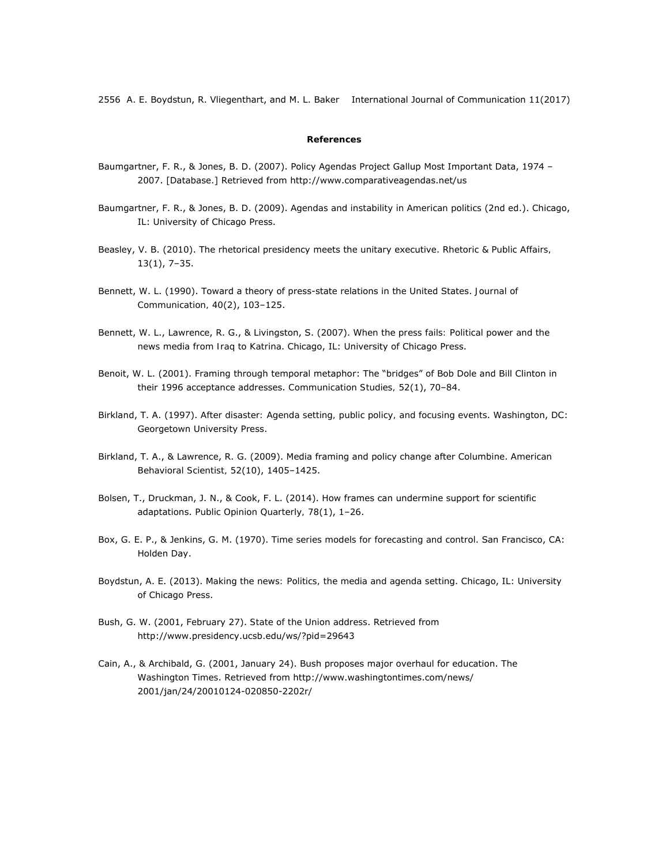#### **References**

- Baumgartner, F. R., & Jones, B. D. (2007). Policy Agendas Project Gallup Most Important Data, 1974 2007. [Database.] Retrieved from http://www.comparativeagendas.net/us
- Baumgartner, F. R., & Jones, B. D. (2009). *Agendas and instability in American politics* (2nd ed.). Chicago, IL: University of Chicago Press.
- Beasley, V. B. (2010). The rhetorical presidency meets the unitary executive. *Rhetoric & Public Affairs, 13*(1), 7–35.
- Bennett, W. L. (1990). Toward a theory of press-state relations in the United States. *Journal of Communication, 40*(2), 103–125.
- Bennett, W. L., Lawrence, R. G., & Livingston, S. (2007). *When the press fails: Political power and the news media from Iraq to Katrina*. Chicago, IL: University of Chicago Press.
- Benoit, W. L. (2001). Framing through temporal metaphor: The "bridges" of Bob Dole and Bill Clinton in their 1996 acceptance addresses. *Communication Studies, 52*(1), 70–84.
- Birkland, T. A. (1997). *After disaster: Agenda setting, public policy, and focusing events*. Washington, DC: Georgetown University Press.
- Birkland, T. A., & Lawrence, R. G. (2009). Media framing and policy change after Columbine. *American Behavioral Scientist, 52*(10), 1405–1425.
- Bolsen, T., Druckman, J. N., & Cook, F. L. (2014). How frames can undermine support for scientific adaptations. *Public Opinion Quarterly, 78*(1), 1–26.
- Box, G. E. P., & Jenkins, G. M. (1970). *Time series models for forecasting and control*. San Francisco, CA: Holden Day.
- Boydstun, A. E. (2013). *Making the news: Politics, the media and agenda setting*. Chicago, IL: University of Chicago Press.
- Bush, G. W. (2001, February 27). *State of the Union address*. Retrieved from http://www.presidency.ucsb.edu/ws/?pid=29643
- Cain, A., & Archibald, G. (2001, January 24). Bush proposes major overhaul for education. *The Washington Times*. Retrieved from http://www.washingtontimes.com/news/ 2001/jan/24/20010124-020850-2202r/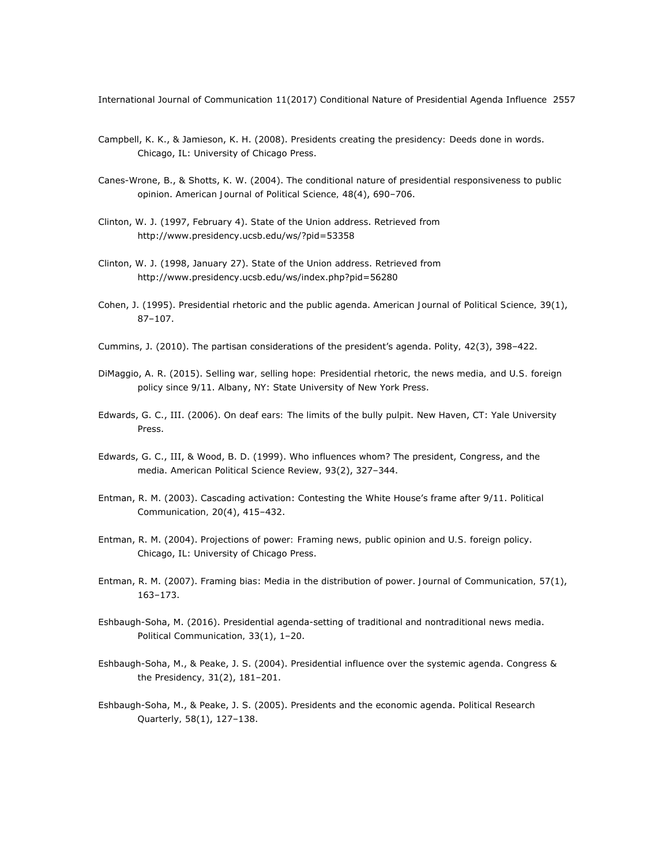- Campbell, K. K., & Jamieson, K. H. (2008). *Presidents creating the presidency: Deeds done in words*. Chicago, IL: University of Chicago Press.
- Canes-Wrone, B., & Shotts, K. W. (2004). The conditional nature of presidential responsiveness to public opinion. *American Journal of Political Science, 48*(4), 690–706.
- Clinton, W. J. (1997, February 4). *State of the Union address*. Retrieved from http://www.presidency.ucsb.edu/ws/?pid=53358
- Clinton, W. J. (1998, January 27). *State of the Union address*. Retrieved from http://www.presidency.ucsb.edu/ws/index.php?pid=56280
- Cohen, J. (1995). Presidential rhetoric and the public agenda. *American Journal of Political Science, 39*(1), 87–107.
- Cummins, J. (2010). The partisan considerations of the president's agenda. *Polity, 42*(3), 398–422.
- DiMaggio, A. R. (2015). *Selling war, selling hope: Presidential rhetoric, the news media, and U.S. foreign policy since 9/11*. Albany, NY: State University of New York Press.
- Edwards, G. C., III. (2006). *On deaf ears: The limits of the bully pulpit*. New Haven, CT: Yale University Press.
- Edwards, G. C., III, & Wood, B. D. (1999). Who influences whom? The president, Congress, and the media. *American Political Science Review, 93*(2), 327–344.
- Entman, R. M. (2003). Cascading activation: Contesting the White House's frame after 9/11. *Political Communication, 20*(4), 415–432.
- Entman, R. M. (2004). *Projections of power: Framing news, public opinion and U.S. foreign policy*. Chicago, IL: University of Chicago Press.
- Entman, R. M. (2007). Framing bias: Media in the distribution of power. *Journal of Communication, 57*(1), 163–173.
- Eshbaugh-Soha, M. (2016). Presidential agenda-setting of traditional and nontraditional news media. *Political Communication, 33*(1), 1–20.
- Eshbaugh-Soha, M., & Peake, J. S. (2004). Presidential influence over the systemic agenda. *Congress & the Presidency, 31*(2), 181–201.
- Eshbaugh-Soha, M., & Peake, J. S. (2005). Presidents and the economic agenda. *Political Research Quarterly, 58*(1), 127–138.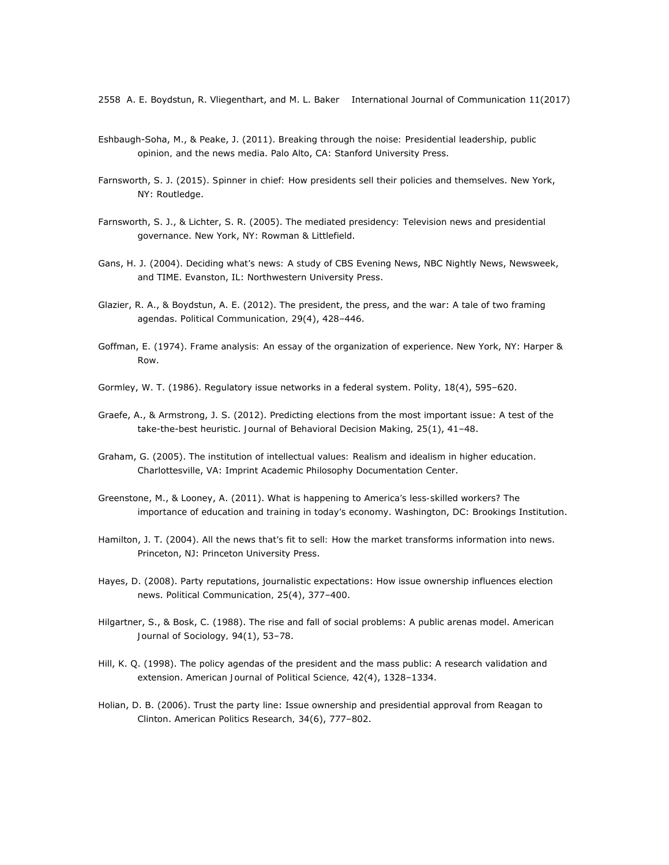- Eshbaugh-Soha, M., & Peake, J. (2011). *Breaking through the noise: Presidential leadership, public opinion, and the news media*. Palo Alto, CA: Stanford University Press.
- Farnsworth, S. J. (2015). *Spinner in chief: How presidents sell their policies and themselves*. New York, NY: Routledge.
- Farnsworth, S. J., & Lichter, S. R. (2005). *The mediated presidency: Television news and presidential governance*. New York, NY: Rowman & Littlefield.
- Gans, H. J. (2004). *Deciding what's news: A study of* CBS Evening News, NBC Nightly News, Newsweek, *and* TIME. Evanston, IL: Northwestern University Press.
- Glazier, R. A., & Boydstun, A. E. (2012). The president, the press, and the war: A tale of two framing agendas. *Political Communication, 29*(4), 428–446.
- Goffman, E. (1974). *Frame analysis: An essay of the organization of experience*. New York, NY: Harper & Row.
- Gormley, W. T. (1986). Regulatory issue networks in a federal system. *Polity, 18*(4), 595–620.
- Graefe, A., & Armstrong, J. S. (2012). Predicting elections from the most important issue: A test of the take-the-best heuristic. *Journal of Behavioral Decision Making, 25*(1), 41–48.
- Graham, G. (2005). *The institution of intellectual values: Realism and idealism in higher education*. Charlottesville, VA: Imprint Academic Philosophy Documentation Center.
- Greenstone, M., & Looney, A. (2011). *What is happening to America's less-skilled workers? The importance of education and training in today's economy*. Washington, DC: Brookings Institution.
- Hamilton, J. T. (2004). *All the news that's fit to sell: How the market transforms information into news*. Princeton, NJ: Princeton University Press.
- Hayes, D. (2008). Party reputations, journalistic expectations: How issue ownership influences election news. *Political Communication, 25*(4), 377–400.
- Hilgartner, S., & Bosk, C. (1988). The rise and fall of social problems: A public arenas model. *American Journal of Sociology, 94*(1), 53–78.
- Hill, K. Q. (1998). The policy agendas of the president and the mass public: A research validation and extension. *American Journal of Political Science, 42*(4), 1328–1334.
- Holian, D. B. (2006). Trust the party line: Issue ownership and presidential approval from Reagan to Clinton. *American Politics Research, 34*(6), 777–802.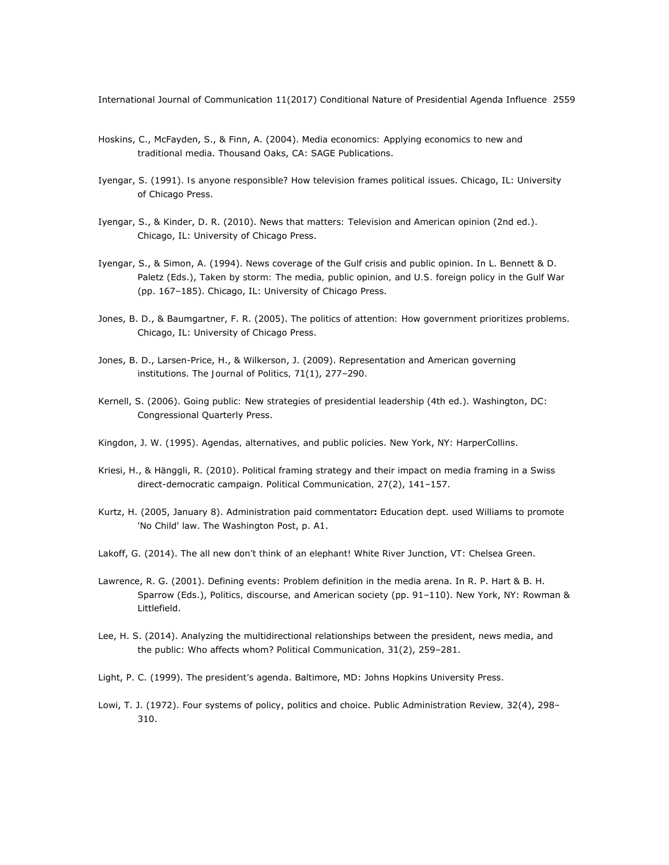- Hoskins, C., McFayden, S., & Finn, A. (2004). *Media economics: Applying economics to new and traditional media*. Thousand Oaks, CA: SAGE Publications.
- Iyengar, S. (1991). *Is anyone responsible? How television frames political issues*. Chicago, IL: University of Chicago Press.
- Iyengar, S., & Kinder, D. R. (2010). *News that matters: Television and American opinion* (2nd ed.). Chicago, IL: University of Chicago Press.
- Iyengar, S., & Simon, A. (1994). News coverage of the Gulf crisis and public opinion. In L. Bennett & D. Paletz (Eds.), *Taken by storm: The media, public opinion, and U.S. foreign policy in the Gulf War* (pp. 167–185). Chicago, IL: University of Chicago Press.
- Jones, B. D., & Baumgartner, F. R. (2005). *The politics of attention: How government prioritizes problems*. Chicago, IL: University of Chicago Press.
- Jones, B. D., Larsen-Price, H., & Wilkerson, J. (2009). Representation and American governing institutions. *The Journal of Politics, 71*(1), 277–290.
- Kernell, S. (2006). *Going public: New strategies of presidential leadership* (4th ed.). Washington, DC: Congressional Quarterly Press.
- Kingdon, J. W. (1995). *Agendas, alternatives, and public policies*. New York, NY: HarperCollins.
- Kriesi, H., & Hänggli, R. (2010). Political framing strategy and their impact on media framing in a Swiss direct-democratic campaign. *Political Communication, 27*(2), 141–157.
- Kurtz, H. (2005, January 8). Administration paid commentator**:** Education dept. used Williams to promote 'No Child' law. *The Washington Post*, p. A1.
- Lakoff, G. (2014). *The all new don't think of an elephant!* White River Junction, VT: Chelsea Green.
- Lawrence, R. G. (2001). Defining events: Problem definition in the media arena. In R. P. Hart & B. H. Sparrow (Eds.), *Politics, discourse, and American society* (pp. 91–110). New York, NY: Rowman & Littlefield.
- Lee, H. S. (2014). Analyzing the multidirectional relationships between the president, news media, and the public: Who affects whom? *Political Communication, 31*(2), 259–281.
- Light, P. C. (1999). *The president's agenda*. Baltimore, MD: Johns Hopkins University Press.
- Lowi, T. J. (1972). Four systems of policy, politics and choice. *Public Administration Review, 32*(4), 298– 310.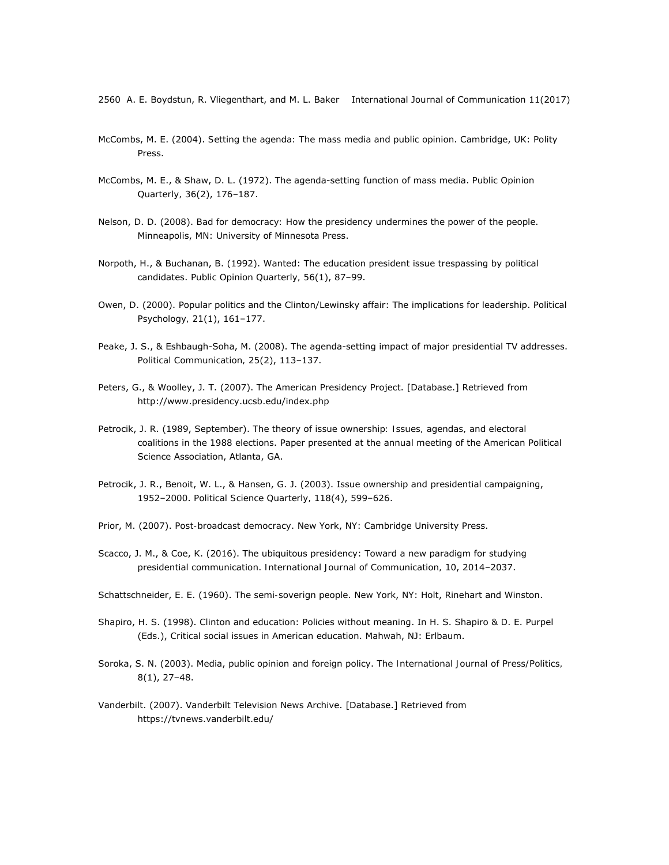- McCombs, M. E. (2004). *Setting the agenda: The mass media and public opinion*. Cambridge, UK: Polity Press.
- McCombs, M. E., & Shaw, D. L. (1972). The agenda-setting function of mass media. *Public Opinion Quarterly, 36*(2), 176–187.
- Nelson, D. D. (2008). *Bad for democracy: How the presidency undermines the power of the people*. Minneapolis, MN: University of Minnesota Press.
- Norpoth, H., & Buchanan, B. (1992). Wanted: The education president issue trespassing by political candidates. *Public Opinion Quarterly, 56*(1), 87–99.
- Owen, D. (2000). Popular politics and the Clinton/Lewinsky affair: The implications for leadership. *Political Psychology, 21*(1), 161–177.
- Peake, J. S., & Eshbaugh-Soha, M. (2008). The agenda-setting impact of major presidential TV addresses. *Political Communication, 25*(2), 113–137.
- Peters, G., & Woolley, J. T. (2007). The American Presidency Project. [Database.] Retrieved from http://www.presidency.ucsb.edu/index.php
- Petrocik, J. R. (1989, September). *The theory of issue ownership: Issues, agendas, and electoral coalitions in the 1988 elections*. Paper presented at the annual meeting of the American Political Science Association, Atlanta, GA.
- Petrocik, J. R., Benoit, W. L., & Hansen, G. J. (2003). Issue ownership and presidential campaigning, 1952–2000. *Political Science Quarterly, 118*(4), 599–626.
- Prior, M. (2007). *Post-broadcast democracy*. New York, NY: Cambridge University Press.
- Scacco, J. M., & Coe, K. (2016). The ubiquitous presidency: Toward a new paradigm for studying presidential communication. *International Journal of Communication, 10*, 2014–2037.
- Schattschneider, E. E. (1960). *The semi-soverign people*. New York, NY: Holt, Rinehart and Winston.
- Shapiro, H. S. (1998). Clinton and education: Policies without meaning. In H. S. Shapiro & D. E. Purpel (Eds.), *Critical social issues in American education*. Mahwah, NJ: Erlbaum.
- Soroka, S. N. (2003). Media, public opinion and foreign policy. *The International Journal of Press/Politics, 8*(1), 27–48.
- Vanderbilt. (2007). Vanderbilt Television News Archive. [Database.] Retrieved from https://tvnews.vanderbilt.edu/